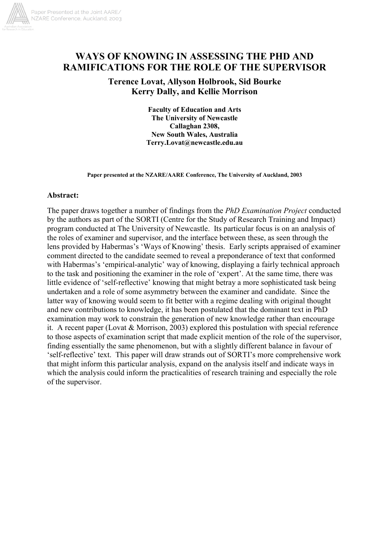

# **WAYS OF KNOWING IN ASSESSING THE PHD AND RAMIFICATIONS FOR THE ROLE OF THE SUPERVISOR**

# **Terence Lovat, Allyson Holbrook, Sid Bourke Kerry Dally, and Kellie Morrison**

**Faculty of Education and Arts The University of Newcastle Callaghan 2308, New South Wales, Australia Terry.Lovat@newcastle.edu.au**

**Paper presented at the NZARE/AARE Conference, The University of Auckland, 2003**

#### **Abstract:**

The paper draws together a number of findings from the *PhD Examination Project* conducted by the authors as part of the SORTI (Centre for the Study of Research Training and Impact) program conducted at The University of Newcastle. Its particular focus is on an analysis of the roles of examiner and supervisor, and the interface between these, as seen through the lens provided by Habermas's 'Ways of Knowing' thesis. Early scripts appraised of examiner comment directed to the candidate seemed to reveal a preponderance of text that conformed with Habermas's 'empirical-analytic' way of knowing, displaying a fairly technical approach to the task and positioning the examiner in the role of 'expert'. At the same time, there was little evidence of 'self-reflective' knowing that might betray a more sophisticated task being undertaken and a role of some asymmetry between the examiner and candidate. Since the latter way of knowing would seem to fit better with a regime dealing with original thought and new contributions to knowledge, it has been postulated that the dominant text in PhD examination may work to constrain the generation of new knowledge rather than encourage it. A recent paper (Lovat & Morrison, 2003) explored this postulation with special reference to those aspects of examination script that made explicit mention of the role of the supervisor, finding essentially the same phenomenon, but with a slightly different balance in favour of 'self-reflective' text. This paper will draw strands out of SORTI's more comprehensive work that might inform this particular analysis, expand on the analysis itself and indicate ways in which the analysis could inform the practicalities of research training and especially the role of the supervisor.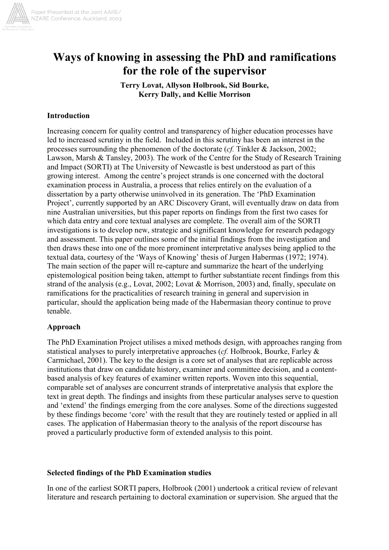

# **Ways of knowing in assessing the PhD and ramifications for the role of the supervisor**

**Terry Lovat, Allyson Holbrook, Sid Bourke, Kerry Dally, and Kellie Morrison**

#### **Introduction**

Increasing concern for quality control and transparency of higher education processes have led to increased scrutiny in the field. Included in this scrutiny has been an interest in the processes surrounding the phenomenon of the doctorate (*cf.* Tinkler & Jackson, 2002; Lawson, Marsh & Tansley, 2003). The work of the Centre for the Study of Research Training and Impact (SORTI) at The University of Newcastle is best understood as part of this growing interest. Among the centre's project strands is one concerned with the doctoral examination process in Australia, a process that relies entirely on the evaluation of a dissertation by a party otherwise uninvolved in its generation. The 'PhD Examination Project', currently supported by an ARC Discovery Grant, will eventually draw on data from nine Australian universities, but this paper reports on findings from the first two cases for which data entry and core textual analyses are complete. The overall aim of the SORTI investigations is to develop new, strategic and significant knowledge for research pedagogy and assessment. This paper outlines some of the initial findings from the investigation and then draws these into one of the more prominent interpretative analyses being applied to the textual data, courtesy of the 'Ways of Knowing' thesis of Jurgen Habermas (1972; 1974). The main section of the paper will re-capture and summarize the heart of the underlying epistemological position being taken, attempt to further substantiate recent findings from this strand of the analysis (e.g., Lovat, 2002; Lovat & Morrison, 2003) and, finally, speculate on ramifications for the practicalities of research training in general and supervision in particular, should the application being made of the Habermasian theory continue to prove tenable.

#### **Approach**

The PhD Examination Project utilises a mixed methods design, with approaches ranging from statistical analyses to purely interpretative approaches (*cf.* Holbrook, Bourke, Farley & Carmichael, 2001). The key to the design is a core set of analyses that are replicable across institutions that draw on candidate history, examiner and committee decision, and a contentbased analysis of key features of examiner written reports. Woven into this sequential, comparable set of analyses are concurrent strands of interpretative analysis that explore the text in great depth. The findings and insights from these particular analyses serve to question and 'extend' the findings emerging from the core analyses. Some of the directions suggested by these findings become 'core' with the result that they are routinely tested or applied in all cases. The application of Habermasian theory to the analysis of the report discourse has proved a particularly productive form of extended analysis to this point.

#### **Selected findings of the PhD Examination studies**

In one of the earliest SORTI papers, Holbrook (2001) undertook a critical review of relevant literature and research pertaining to doctoral examination or supervision. She argued that the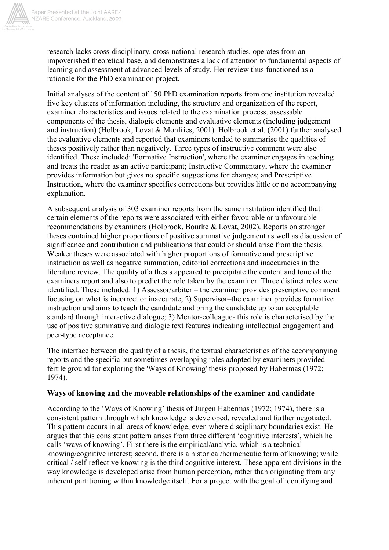

research lacks cross-disciplinary, cross-national research studies, operates from an impoverished theoretical base, and demonstrates a lack of attention to fundamental aspects of learning and assessment at advanced levels of study. Her review thus functioned as a rationale for the PhD examination project.

Initial analyses of the content of 150 PhD examination reports from one institution revealed five key clusters of information including, the structure and organization of the report, examiner characteristics and issues related to the examination process, assessable components of the thesis, dialogic elements and evaluative elements (including judgement and instruction) (Holbrook, Lovat & Monfries, 2001). Holbrook et al. (2001) further analysed the evaluative elements and reported that examiners tended to summarise the qualities of theses positively rather than negatively. Three types of instructive comment were also identified. These included: 'Formative Instruction', where the examiner engages in teaching and treats the reader as an active participant; Instructive Commentary, where the examiner provides information but gives no specific suggestions for changes; and Prescriptive Instruction, where the examiner specifies corrections but provides little or no accompanying explanation.

A subsequent analysis of 303 examiner reports from the same institution identified that certain elements of the reports were associated with either favourable or unfavourable recommendations by examiners (Holbrook, Bourke & Lovat, 2002). Reports on stronger theses contained higher proportions of positive summative judgement as well as discussion of significance and contribution and publications that could or should arise from the thesis. Weaker theses were associated with higher proportions of formative and prescriptive instruction as well as negative summation, editorial corrections and inaccuracies in the literature review. The quality of a thesis appeared to precipitate the content and tone of the examiners report and also to predict the role taken by the examiner. Three distinct roles were identified. These included: 1) Assessor/arbiter – the examiner provides prescriptive comment focusing on what is incorrect or inaccurate; 2) Supervisor–the examiner provides formative instruction and aims to teach the candidate and bring the candidate up to an acceptable standard through interactive dialogue; 3) Mentor-colleague- this role is characterised by the use of positive summative and dialogic text features indicating intellectual engagement and peer-type acceptance.

The interface between the quality of a thesis, the textual characteristics of the accompanying reports and the specific but sometimes overlapping roles adopted by examiners provided fertile ground for exploring the 'Ways of Knowing' thesis proposed by Habermas (1972; 1974).

## **Ways of knowing and the moveable relationships of the examiner and candidate**

According to the 'Ways of Knowing' thesis of Jurgen Habermas (1972; 1974), there is a consistent pattern through which knowledge is developed, revealed and further negotiated. This pattern occurs in all areas of knowledge, even where disciplinary boundaries exist. He argues that this consistent pattern arises from three different 'cognitive interests', which he calls 'ways of knowing'. First there is the empirical/analytic, which is a technical knowing/cognitive interest; second, there is a historical/hermeneutic form of knowing; while critical / self-reflective knowing is the third cognitive interest. These apparent divisions in the way knowledge is developed arise from human perception, rather than originating from any inherent partitioning within knowledge itself. For a project with the goal of identifying and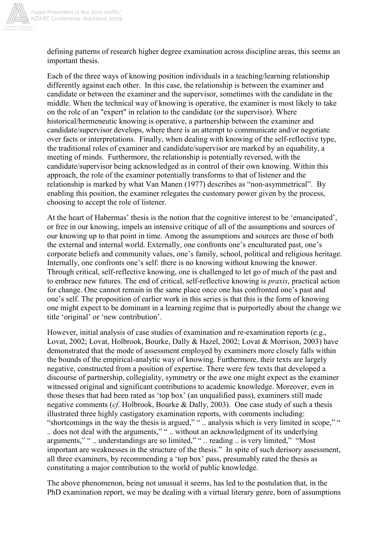

defining patterns of research higher degree examination across discipline areas, this seems an important thesis.

Each of the three ways of knowing position individuals in a teaching/learning relationship differently against each other. In this case, the relationship is between the examiner and candidate or between the examiner and the supervisor, sometimes with the candidate in the middle. When the technical way of knowing is operative, the examiner is most likely to take on the role of an "expert" in relation to the candidate (or the supervisor). Where historical/hermeneutic knowing is operative, a partnership between the examiner and candidate/supervisor develops, where there is an attempt to communicate and/or negotiate over facts or interpretations. Finally, when dealing with knowing of the self-reflective type, the traditional roles of examiner and candidate/supervisor are marked by an equability, a meeting of minds. Furthermore, the relationship is potentially reversed, with the candidate/supervisor being acknowledged as in control of their own knowing. Within this approach, the role of the examiner potentially transforms to that of listener and the relationship is marked by what Van Manen (1977) describes as "non-asymmetrical". By enabling this position, the examiner relegates the customary power given by the process, choosing to accept the role of listener.

At the heart of Habermas' thesis is the notion that the cognitive interest to be 'emancipated', or free in our knowing, impels an intensive critique of all of the assumptions and sources of our knowing up to that point in time. Among the assumptions and sources are those of both the external and internal world. Externally, one confronts one's enculturated past, one's corporate beliefs and community values, one's family, school, political and religious heritage. Internally, one confronts one's self: there is no knowing without knowing the knower. Through critical, self-reflective knowing, one is challenged to let go of much of the past and to embrace new futures. The end of critical, self-reflective knowing is *praxis*, practical action for change. One cannot remain in the same place once one has confronted one's past and one's self. The proposition of earlier work in this series is that this is the form of knowing one might expect to be dominant in a learning regime that is purportedly about the change we title 'original' or 'new contribution'.

However, initial analysis of case studies of examination and re-examination reports (e.g., Lovat, 2002; Lovat, Holbrook, Bourke, Dally & Hazel, 2002; Lovat & Morrison, 2003) have demonstrated that the mode of assessment employed by examiners more closely falls within the bounds of the empirical-analytic way of knowing. Furthermore, their texts are largely negative, constructed from a position of expertise. There were few texts that developed a discourse of partnership, collegiality, symmetry or the awe one might expect as the examiner witnessed original and significant contributions to academic knowledge. Moreover, even in those theses that had been rated as 'top box' (an unqualified pass), examiners still made negative comments (*cf*. Holbrook, Bourke & Dally, 2003). One case study of such a thesis illustrated three highly castigatory examination reports, with comments including: "shortcomings in the way the thesis is argued," " .. analysis which is very limited in scope," " .. does not deal with the arguments," " .. without an acknowledgment of its underlying arguments," " .. understandings are so limited," " .. reading .. is very limited," "Most important are weaknesses in the structure of the thesis." In spite of such derisory assessment, all three examiners, by recommending a 'top box' pass, presumably rated the thesis as constituting a major contribution to the world of public knowledge.

The above phenomenon, being not unusual it seems, has led to the postulation that, in the PhD examination report, we may be dealing with a virtual literary genre, born of assumptions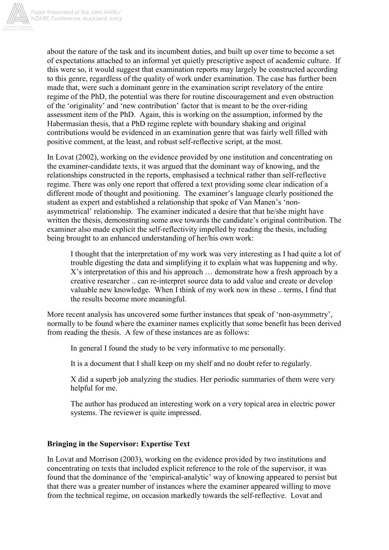

about the nature of the task and its incumbent duties, and built up over time to become a set of expectations attached to an informal yet quietly prescriptive aspect of academic culture. If this were so, it would suggest that examination reports may largely be constructed according to this genre, regardless of the quality of work under examination. The case has further been made that, were such a dominant genre in the examination script revelatory of the entire regime of the PhD, the potential was there for routine discouragement and even obstruction of the 'originality' and 'new contribution' factor that is meant to be the over-riding assessment item of the PhD. Again, this is working on the assumption, informed by the Habermasian thesis, that a PhD regime replete with boundary shaking and original contributions would be evidenced in an examination genre that was fairly well filled with positive comment, at the least, and robust self-reflective script, at the most.

In Lovat (2002), working on the evidence provided by one institution and concentrating on the examiner-candidate texts, it was argued that the dominant way of knowing, and the relationships constructed in the reports, emphasised a technical rather than self-reflective regime. There was only one report that offered a text providing some clear indication of a different mode of thought and positioning. The examiner's language clearly positioned the student as expert and established a relationship that spoke of Van Manen's 'nonasymmetrical' relationship. The examiner indicated a desire that that he/she might have written the thesis, demonstrating some awe towards the candidate's original contribution. The examiner also made explicit the self-reflectivity impelled by reading the thesis, including being brought to an enhanced understanding of her/his own work:

I thought that the interpretation of my work was very interesting as I had quite a lot of trouble digesting the data and simplifying it to explain what was happening and why. X's interpretation of this and his approach … demonstrate how a fresh approach by a creative researcher .. can re-interpret source data to add value and create or develop valuable new knowledge. When I think of my work now in these .. terms, I find that the results become more meaningful.

More recent analysis has uncovered some further instances that speak of 'non-asymmetry', normally to be found where the examiner names explicitly that some benefit has been derived from reading the thesis. A few of these instances are as follows:

In general I found the study to be very informative to me personally.

It is a document that I shall keep on my shelf and no doubt refer to regularly.

X did a superb job analyzing the studies. Her periodic summaries of them were very helpful for me.

The author has produced an interesting work on a very topical area in electric power systems. The reviewer is quite impressed.

## **Bringing in the Supervisor: Expertise Text**

In Lovat and Morrison (2003), working on the evidence provided by two institutions and concentrating on texts that included explicit reference to the role of the supervisor, it was found that the dominance of the 'empirical-analytic' way of knowing appeared to persist but that there was a greater number of instances where the examiner appeared willing to move from the technical regime, on occasion markedly towards the self-reflective. Lovat and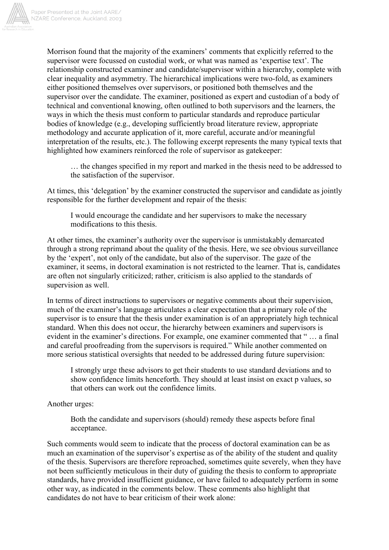

Morrison found that the majority of the examiners' comments that explicitly referred to the supervisor were focussed on custodial work, or what was named as 'expertise text'. The relationship constructed examiner and candidate/supervisor within a hierarchy, complete with clear inequality and asymmetry. The hierarchical implications were two-fold, as examiners either positioned themselves over supervisors, or positioned both themselves and the supervisor over the candidate. The examiner, positioned as expert and custodian of a body of technical and conventional knowing, often outlined to both supervisors and the learners, the ways in which the thesis must conform to particular standards and reproduce particular bodies of knowledge (e.g., developing sufficiently broad literature review, appropriate methodology and accurate application of it, more careful, accurate and/or meaningful interpretation of the results, etc.). The following excerpt represents the many typical texts that highlighted how examiners reinforced the role of supervisor as gatekeeper:

… the changes specified in my report and marked in the thesis need to be addressed to the satisfaction of the supervisor.

At times, this 'delegation' by the examiner constructed the supervisor and candidate as jointly responsible for the further development and repair of the thesis:

I would encourage the candidate and her supervisors to make the necessary modifications to this thesis.

At other times, the examiner's authority over the supervisor is unmistakably demarcated through a strong reprimand about the quality of the thesis. Here, we see obvious surveillance by the 'expert', not only of the candidate, but also of the supervisor. The gaze of the examiner, it seems, in doctoral examination is not restricted to the learner. That is, candidates are often not singularly criticized; rather, criticism is also applied to the standards of supervision as well.

In terms of direct instructions to supervisors or negative comments about their supervision, much of the examiner's language articulates a clear expectation that a primary role of the supervisor is to ensure that the thesis under examination is of an appropriately high technical standard. When this does not occur, the hierarchy between examiners and supervisors is evident in the examiner's directions. For example, one examiner commented that " … a final and careful proofreading from the supervisors is required." While another commented on more serious statistical oversights that needed to be addressed during future supervision:

I strongly urge these advisors to get their students to use standard deviations and to show confidence limits henceforth. They should at least insist on exact p values, so that others can work out the confidence limits.

Another urges:

Both the candidate and supervisors (should) remedy these aspects before final acceptance.

Such comments would seem to indicate that the process of doctoral examination can be as much an examination of the supervisor's expertise as of the ability of the student and quality of the thesis. Supervisors are therefore reproached, sometimes quite severely, when they have not been sufficiently meticulous in their duty of guiding the thesis to conform to appropriate standards, have provided insufficient guidance, or have failed to adequately perform in some other way, as indicated in the comments below. These comments also highlight that candidates do not have to bear criticism of their work alone: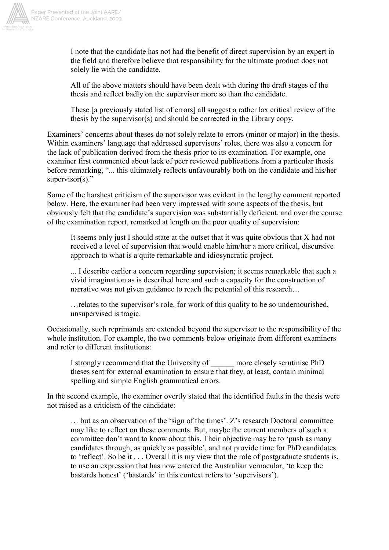

I note that the candidate has not had the benefit of direct supervision by an expert in the field and therefore believe that responsibility for the ultimate product does not solely lie with the candidate.

All of the above matters should have been dealt with during the draft stages of the thesis and reflect badly on the supervisor more so than the candidate.

These [a previously stated list of errors] all suggest a rather lax critical review of the thesis by the supervisor(s) and should be corrected in the Library copy.

Examiners' concerns about theses do not solely relate to errors (minor or major) in the thesis. Within examiners' language that addressed supervisors' roles, there was also a concern for the lack of publication derived from the thesis prior to its examination. For example, one examiner first commented about lack of peer reviewed publications from a particular thesis before remarking, "... this ultimately reflects unfavourably both on the candidate and his/her supervisor $(s)$ ."

Some of the harshest criticism of the supervisor was evident in the lengthy comment reported below. Here, the examiner had been very impressed with some aspects of the thesis, but obviously felt that the candidate's supervision was substantially deficient, and over the course of the examination report, remarked at length on the poor quality of supervision:

It seems only just I should state at the outset that it was quite obvious that X had not received a level of supervision that would enable him/her a more critical, discursive approach to what is a quite remarkable and idiosyncratic project.

... I describe earlier a concern regarding supervision; it seems remarkable that such a vivid imagination as is described here and such a capacity for the construction of narrative was not given guidance to reach the potential of this research…

…relates to the supervisor's role, for work of this quality to be so undernourished, unsupervised is tragic.

Occasionally, such reprimands are extended beyond the supervisor to the responsibility of the whole institution. For example, the two comments below originate from different examiners and refer to different institutions:

I strongly recommend that the University of \_\_\_\_\_\_ more closely scrutinise PhD theses sent for external examination to ensure that they, at least, contain minimal spelling and simple English grammatical errors.

In the second example, the examiner overtly stated that the identified faults in the thesis were not raised as a criticism of the candidate:

… but as an observation of the 'sign of the times'. Z's research Doctoral committee may like to reflect on these comments. But, maybe the current members of such a committee don't want to know about this. Their objective may be to 'push as many candidates through, as quickly as possible', and not provide time for PhD candidates to 'reflect'. So be it . . . Overall it is my view that the role of postgraduate students is, to use an expression that has now entered the Australian vernacular, 'to keep the bastards honest' ('bastards' in this context refers to 'supervisors').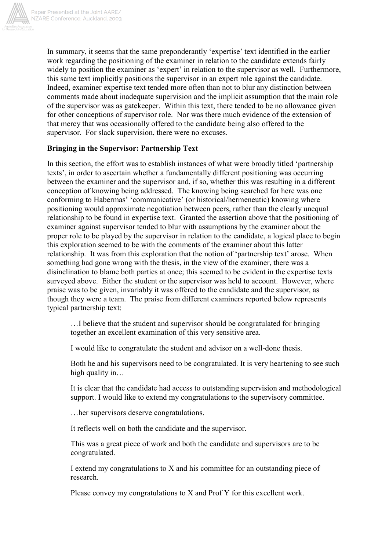

Paper Presented at the Joint AARE/<br>NZARE Conference, Auckland, 2003

In summary, it seems that the same preponderantly 'expertise' text identified in the earlier work regarding the positioning of the examiner in relation to the candidate extends fairly widely to position the examiner as 'expert' in relation to the supervisor as well. Furthermore, this same text implicitly positions the supervisor in an expert role against the candidate. Indeed, examiner expertise text tended more often than not to blur any distinction between comments made about inadequate supervision and the implicit assumption that the main role of the supervisor was as gatekeeper. Within this text, there tended to be no allowance given for other conceptions of supervisor role. Nor was there much evidence of the extension of that mercy that was occasionally offered to the candidate being also offered to the supervisor. For slack supervision, there were no excuses.

#### **Bringing in the Supervisor: Partnership Text**

In this section, the effort was to establish instances of what were broadly titled 'partnership texts', in order to ascertain whether a fundamentally different positioning was occurring between the examiner and the supervisor and, if so, whether this was resulting in a different conception of knowing being addressed. The knowing being searched for here was one conforming to Habermas' 'communicative' (or historical/hermeneutic) knowing where positioning would approximate negotiation between peers, rather than the clearly unequal relationship to be found in expertise text. Granted the assertion above that the positioning of examiner against supervisor tended to blur with assumptions by the examiner about the proper role to be played by the supervisor in relation to the candidate, a logical place to begin this exploration seemed to be with the comments of the examiner about this latter relationship. It was from this exploration that the notion of 'partnership text' arose. When something had gone wrong with the thesis, in the view of the examiner, there was a disinclination to blame both parties at once; this seemed to be evident in the expertise texts surveyed above. Either the student or the supervisor was held to account. However, where praise was to be given, invariably it was offered to the candidate and the supervisor, as though they were a team. The praise from different examiners reported below represents typical partnership text:

…I believe that the student and supervisor should be congratulated for bringing together an excellent examination of this very sensitive area.

I would like to congratulate the student and advisor on a well-done thesis.

Both he and his supervisors need to be congratulated. It is very heartening to see such high quality in…

It is clear that the candidate had access to outstanding supervision and methodological support. I would like to extend my congratulations to the supervisory committee.

…her supervisors deserve congratulations.

It reflects well on both the candidate and the supervisor.

This was a great piece of work and both the candidate and supervisors are to be congratulated.

I extend my congratulations to X and his committee for an outstanding piece of research.

Please convey my congratulations to X and Prof Y for this excellent work.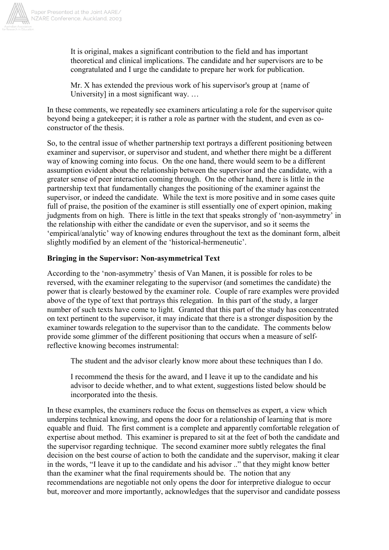

It is original, makes a significant contribution to the field and has important theoretical and clinical implications. The candidate and her supervisors are to be congratulated and I urge the candidate to prepare her work for publication.

Mr. X has extended the previous work of his supervisor's group at {name of University] in a most significant way....

In these comments, we repeatedly see examiners articulating a role for the supervisor quite beyond being a gatekeeper; it is rather a role as partner with the student, and even as coconstructor of the thesis.

So, to the central issue of whether partnership text portrays a different positioning between examiner and supervisor, or supervisor and student, and whether there might be a different way of knowing coming into focus. On the one hand, there would seem to be a different assumption evident about the relationship between the supervisor and the candidate, with a greater sense of peer interaction coming through. On the other hand, there is little in the partnership text that fundamentally changes the positioning of the examiner against the supervisor, or indeed the candidate. While the text is more positive and in some cases quite full of praise, the position of the examiner is still essentially one of expert opinion, making judgments from on high. There is little in the text that speaks strongly of 'non-asymmetry' in the relationship with either the candidate or even the supervisor, and so it seems the 'empirical/analytic' way of knowing endures throughout the text as the dominant form, albeit slightly modified by an element of the 'historical-hermeneutic'.

# **Bringing in the Supervisor: Non-asymmetrical Text**

According to the 'non-asymmetry' thesis of Van Manen, it is possible for roles to be reversed, with the examiner relegating to the supervisor (and sometimes the candidate) the power that is clearly bestowed by the examiner role. Couple of rare examples were provided above of the type of text that portrays this relegation. In this part of the study, a larger number of such texts have come to light. Granted that this part of the study has concentrated on text pertinent to the supervisor, it may indicate that there is a stronger disposition by the examiner towards relegation to the supervisor than to the candidate. The comments below provide some glimmer of the different positioning that occurs when a measure of selfreflective knowing becomes instrumental:

The student and the advisor clearly know more about these techniques than I do.

I recommend the thesis for the award, and I leave it up to the candidate and his advisor to decide whether, and to what extent, suggestions listed below should be incorporated into the thesis.

In these examples, the examiners reduce the focus on themselves as expert, a view which underpins technical knowing, and opens the door for a relationship of learning that is more equable and fluid. The first comment is a complete and apparently comfortable relegation of expertise about method. This examiner is prepared to sit at the feet of both the candidate and the supervisor regarding technique. The second examiner more subtly relegates the final decision on the best course of action to both the candidate and the supervisor, making it clear in the words, "I leave it up to the candidate and his advisor .." that they might know better than the examiner what the final requirements should be. The notion that any recommendations are negotiable not only opens the door for interpretive dialogue to occur but, moreover and more importantly, acknowledges that the supervisor and candidate possess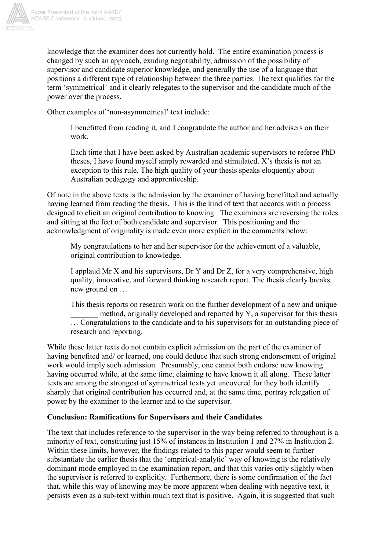

knowledge that the examiner does not currently hold. The entire examination process is changed by such an approach, exuding negotiability, admission of the possibility of supervisor and candidate superior knowledge, and generally the use of a language that positions a different type of relationship between the three parties. The text qualifies for the term 'symmetrical' and it clearly relegates to the supervisor and the candidate much of the power over the process.

Other examples of 'non-asymmetrical' text include:

I benefitted from reading it, and I congratulate the author and her advisers on their work.

Each time that I have been asked by Australian academic supervisors to referee PhD theses, I have found myself amply rewarded and stimulated. X's thesis is not an exception to this rule. The high quality of your thesis speaks eloquently about Australian pedagogy and apprenticeship.

Of note in the above texts is the admission by the examiner of having benefitted and actually having learned from reading the thesis. This is the kind of text that accords with a process designed to elicit an original contribution to knowing. The examiners are reversing the roles and sitting at the feet of both candidate and supervisor. This positioning and the acknowledgment of originality is made even more explicit in the comments below:

My congratulations to her and her supervisor for the achievement of a valuable, original contribution to knowledge.

I applaud Mr X and his supervisors, Dr Y and Dr Z, for a very comprehensive, high quality, innovative, and forward thinking research report. The thesis clearly breaks new ground on …

This thesis reports on research work on the further development of a new and unique method, originally developed and reported by Y, a supervisor for this thesis … Congratulations to the candidate and to his supervisors for an outstanding piece of research and reporting.

While these latter texts do not contain explicit admission on the part of the examiner of having benefited and/ or learned, one could deduce that such strong endorsement of original work would imply such admission. Presumably, one cannot both endorse new knowing having occurred while, at the same time, claiming to have known it all along. These latter texts are among the strongest of symmetrical texts yet uncovered for they both identify sharply that original contribution has occurred and, at the same time, portray relegation of power by the examiner to the learner and to the supervisor.

#### **Conclusion: Ramifications for Supervisors and their Candidates**

The text that includes reference to the supervisor in the way being referred to throughout is a minority of text, constituting just 15% of instances in Institution 1 and 27% in Institution 2. Within these limits, however, the findings related to this paper would seem to further substantiate the earlier thesis that the 'empirical-analytic' way of knowing is the relatively dominant mode employed in the examination report, and that this varies only slightly when the supervisor is referred to explicitly. Furthermore, there is some confirmation of the fact that, while this way of knowing may be more apparent when dealing with negative text, it persists even as a sub-text within much text that is positive. Again, it is suggested that such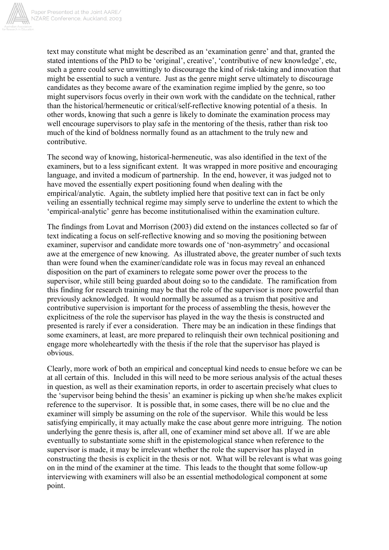

text may constitute what might be described as an 'examination genre' and that, granted the stated intentions of the PhD to be 'original', creative', 'contributive of new knowledge', etc, such a genre could serve unwittingly to discourage the kind of risk-taking and innovation that might be essential to such a venture. Just as the genre might serve ultimately to discourage candidates as they become aware of the examination regime implied by the genre, so too might supervisors focus overly in their own work with the candidate on the technical, rather than the historical/hermeneutic or critical/self-reflective knowing potential of a thesis. In other words, knowing that such a genre is likely to dominate the examination process may well encourage supervisors to play safe in the mentoring of the thesis, rather than risk too much of the kind of boldness normally found as an attachment to the truly new and contributive.

The second way of knowing, historical-hermeneutic, was also identified in the text of the examiners, but to a less significant extent. It was wrapped in more positive and encouraging language, and invited a modicum of partnership. In the end, however, it was judged not to have moved the essentially expert positioning found when dealing with the empirical/analytic. Again, the subtlety implied here that positive text can in fact be only veiling an essentially technical regime may simply serve to underline the extent to which the 'empirical-analytic' genre has become institutionalised within the examination culture.

The findings from Lovat and Morrison (2003) did extend on the instances collected so far of text indicating a focus on self-reflective knowing and so moving the positioning between examiner, supervisor and candidate more towards one of 'non-asymmetry' and occasional awe at the emergence of new knowing. As illustrated above, the greater number of such texts than were found when the examiner/candidate role was in focus may reveal an enhanced disposition on the part of examiners to relegate some power over the process to the supervisor, while still being guarded about doing so to the candidate. The ramification from this finding for research training may be that the role of the supervisor is more powerful than previously acknowledged. It would normally be assumed as a truism that positive and contributive supervision is important for the process of assembling the thesis, however the explicitness of the role the supervisor has played in the way the thesis is constructed and presented is rarely if ever a consideration. There may be an indication in these findings that some examiners, at least, are more prepared to relinquish their own technical positioning and engage more wholeheartedly with the thesis if the role that the supervisor has played is obvious.

Clearly, more work of both an empirical and conceptual kind needs to ensue before we can be at all certain of this. Included in this will need to be more serious analysis of the actual theses in question, as well as their examination reports, in order to ascertain precisely what clues to the 'supervisor being behind the thesis' an examiner is picking up when she/he makes explicit reference to the supervisor. It is possible that, in some cases, there will be no clue and the examiner will simply be assuming on the role of the supervisor. While this would be less satisfying empirically, it may actually make the case about genre more intriguing. The notion underlying the genre thesis is, after all, one of examiner mind set above all. If we are able eventually to substantiate some shift in the epistemological stance when reference to the supervisor is made, it may be irrelevant whether the role the supervisor has played in constructing the thesis is explicit in the thesis or not. What will be relevant is what was going on in the mind of the examiner at the time. This leads to the thought that some follow-up interviewing with examiners will also be an essential methodological component at some point.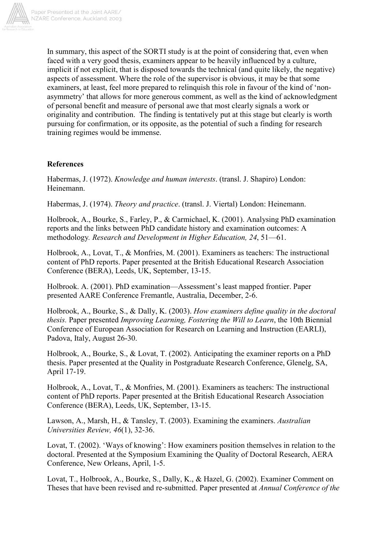

In summary, this aspect of the SORTI study is at the point of considering that, even when faced with a very good thesis, examiners appear to be heavily influenced by a culture, implicit if not explicit, that is disposed towards the technical (and quite likely, the negative) aspects of assessment. Where the role of the supervisor is obvious, it may be that some examiners, at least, feel more prepared to relinquish this role in favour of the kind of 'nonasymmetry' that allows for more generous comment, as well as the kind of acknowledgment of personal benefit and measure of personal awe that most clearly signals a work or originality and contribution. The finding is tentatively put at this stage but clearly is worth pursuing for confirmation, or its opposite, as the potential of such a finding for research training regimes would be immense.

#### **References**

Habermas, J. (1972). *Knowledge and human interests*. (transl. J. Shapiro) London: Heinemann.

Habermas, J. (1974). *Theory and practice*. (transl. J. Viertal) London: Heinemann.

Holbrook, A., Bourke, S., Farley, P., & Carmichael, K. (2001). Analysing PhD examination reports and the links between PhD candidate history and examination outcomes: A methodology*. Research and Development in Higher Education, 24*, 51—61.

Holbrook, A., Lovat, T., & Monfries, M. (2001). Examiners as teachers: The instructional content of PhD reports. Paper presented at the British Educational Research Association Conference (BERA), Leeds, UK, September, 13-15.

Holbrook. A. (2001). PhD examination—Assessment's least mapped frontier. Paper presented AARE Conference Fremantle, Australia, December, 2-6.

Holbrook, A., Bourke, S., & Dally, K. (2003). *How examiners define quality in the doctoral thesis.* Paper presented *Improving Learning, Fostering the Will to Learn*, the 10th Biennial Conference of European Association for Research on Learning and Instruction (EARLI), Padova, Italy, August 26-30.

Holbrook, A., Bourke, S., & Lovat, T. (2002). Anticipating the examiner reports on a PhD thesis. Paper presented at the Quality in Postgraduate Research Conference, Glenelg, SA, April 17-19.

Holbrook, A., Lovat, T., & Monfries, M. (2001). Examiners as teachers: The instructional content of PhD reports. Paper presented at the British Educational Research Association Conference (BERA), Leeds, UK, September, 13-15.

Lawson, A., Marsh, H., & Tansley, T. (2003). Examining the examiners. *Australian Universities Review, 46*(1), 32-36.

Lovat, T. (2002). 'Ways of knowing': How examiners position themselves in relation to the doctoral. Presented at the Symposium Examining the Quality of Doctoral Research, AERA Conference, New Orleans, April, 1-5.

Lovat, T., Holbrook, A., Bourke, S., Dally, K., & Hazel, G. (2002). Examiner Comment on Theses that have been revised and re-submitted. Paper presented at *Annual Conference of the*